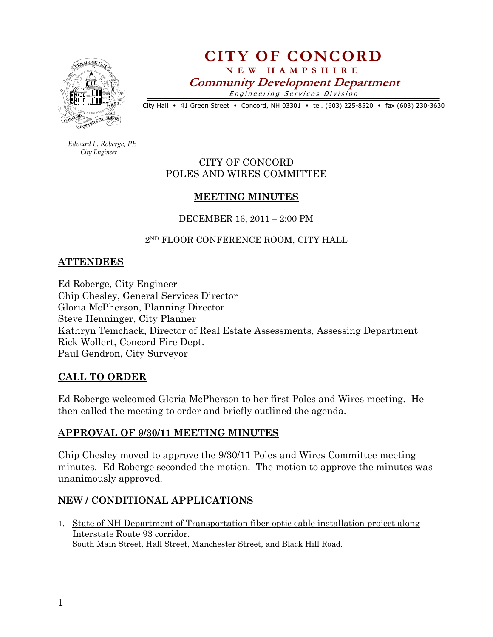

# CITY OF CONCORD N E W H A M P S H I R E Community Development Department

Engineering Services Division

City Hall • 41 Green Street • Concord, NH 03301 • tel. (603) 225-8520 • fax (603) 230-3630

 Edward L. Roberge, PE City Engineer

## CITY OF CONCORD POLES AND WIRES COMMITTEE

## MEETING MINUTES

DECEMBER 16, 2011 – 2:00 PM

2<sup>ND</sup> FLOOR CONFERENCE ROOM, CITY HALL

## **ATTENDEES**

Ed Roberge, City Engineer Chip Chesley, General Services Director Gloria McPherson, Planning Director Steve Henninger, City Planner Kathryn Temchack, Director of Real Estate Assessments, Assessing Department Rick Wollert, Concord Fire Dept. Paul Gendron, City Surveyor

#### CALL TO ORDER

Ed Roberge welcomed Gloria McPherson to her first Poles and Wires meeting. He then called the meeting to order and briefly outlined the agenda.

# APPROVAL OF 9/30/11 MEETING MINUTES

Chip Chesley moved to approve the 9/30/11 Poles and Wires Committee meeting minutes. Ed Roberge seconded the motion. The motion to approve the minutes was unanimously approved.

# NEW / CONDITIONAL APPLICATIONS

1. State of NH Department of Transportation fiber optic cable installation project along Interstate Route 93 corridor. South Main Street, Hall Street, Manchester Street, and Black Hill Road.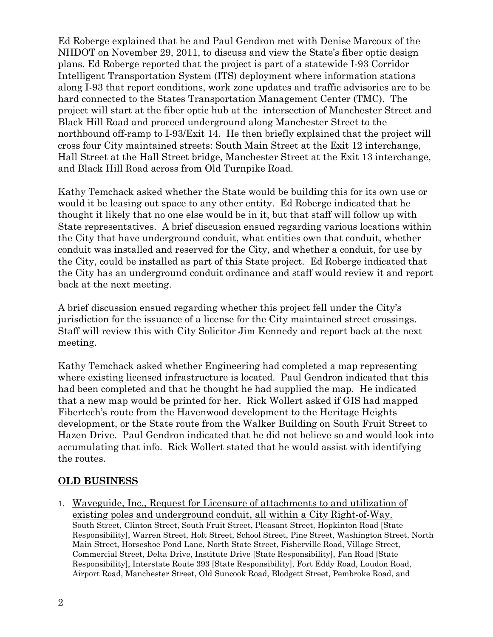Ed Roberge explained that he and Paul Gendron met with Denise Marcoux of the NHDOT on November 29, 2011, to discuss and view the State's fiber optic design plans. Ed Roberge reported that the project is part of a statewide I-93 Corridor Intelligent Transportation System (ITS) deployment where information stations along I-93 that report conditions, work zone updates and traffic advisories are to be hard connected to the States Transportation Management Center (TMC). The project will start at the fiber optic hub at the intersection of Manchester Street and Black Hill Road and proceed underground along Manchester Street to the northbound off-ramp to I-93/Exit 14. He then briefly explained that the project will cross four City maintained streets: South Main Street at the Exit 12 interchange, Hall Street at the Hall Street bridge, Manchester Street at the Exit 13 interchange, and Black Hill Road across from Old Turnpike Road.

Kathy Temchack asked whether the State would be building this for its own use or would it be leasing out space to any other entity. Ed Roberge indicated that he thought it likely that no one else would be in it, but that staff will follow up with State representatives. A brief discussion ensued regarding various locations within the City that have underground conduit, what entities own that conduit, whether conduit was installed and reserved for the City, and whether a conduit, for use by the City, could be installed as part of this State project. Ed Roberge indicated that the City has an underground conduit ordinance and staff would review it and report back at the next meeting.

A brief discussion ensued regarding whether this project fell under the City's jurisdiction for the issuance of a license for the City maintained street crossings. Staff will review this with City Solicitor Jim Kennedy and report back at the next meeting.

Kathy Temchack asked whether Engineering had completed a map representing where existing licensed infrastructure is located. Paul Gendron indicated that this had been completed and that he thought he had supplied the map. He indicated that a new map would be printed for her. Rick Wollert asked if GIS had mapped Fibertech's route from the Havenwood development to the Heritage Heights development, or the State route from the Walker Building on South Fruit Street to Hazen Drive. Paul Gendron indicated that he did not believe so and would look into accumulating that info. Rick Wollert stated that he would assist with identifying the routes.

#### OLD BUSINESS

1. Waveguide, Inc., Request for Licensure of attachments to and utilization of existing poles and underground conduit, all within a City Right-of-Way. South Street, Clinton Street, South Fruit Street, Pleasant Street, Hopkinton Road [State Responsibility], Warren Street, Holt Street, School Street, Pine Street, Washington Street, North Main Street, Horseshoe Pond Lane, North State Street, Fisherville Road, Village Street, Commercial Street, Delta Drive, Institute Drive [State Responsibility], Fan Road [State Responsibility], Interstate Route 393 [State Responsibility], Fort Eddy Road, Loudon Road, Airport Road, Manchester Street, Old Suncook Road, Blodgett Street, Pembroke Road, and